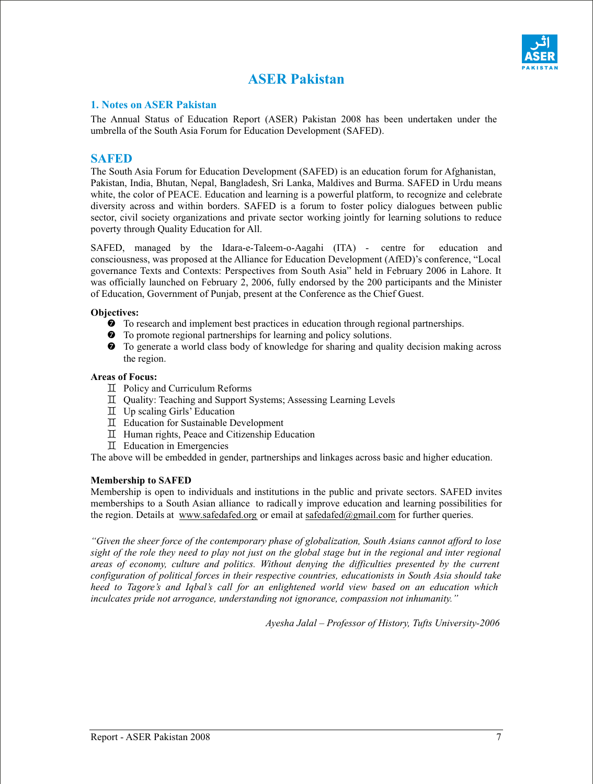

# **ASER Pakistan**

#### **1. Notes on ASER Pakistan**

The Annual Status of Education Report (ASER) Pakistan 2008 has been undertaken under the umbrella of the South Asia Forum for Education Development (SAFED).

## **SAFED**

The South Asia Forum for Education Development (SAFED) is an education forum for Afghanistan, Pakistan, India, Bhutan, Nepal, Bangladesh, Sri Lanka, Maldives and Burma. SAFED in Urdu means white, the color of PEACE. Education and learning is a powerful platform, to recognize and celebrate diversity across and within borders. SAFED is a forum to foster policy dialogues between public sector, civil society organizations and private sector working jointly for learning solutions to reduce poverty through Quality Education for All.

SAFED, managed by the Idara-e-Taleem-o-Aagahi (ITA) - centre for education and consciousness, was proposed at the Alliance for Education Development (AfED)'s conference, "Local governance Texts and Contexts: Perspectives from South Asia" held in February 2006 in Lahore. It was officially launched on February 2, 2006, fully endorsed by the 200 participants and the Minister of Education, Government of Punjab, present at the Conference as the Chief Guest.

#### **Objectives:**

- ' To research and implement best practices in education through regional partnerships.
- $\bullet$  To promote regional partnerships for learning and policy solutions.
- $\bullet$  To generate a world class body of knowledge for sharing and quality decision making across the region.

#### **Areas of Focus:**

- $\mathbb I$  Policy and Curriculum Reforms
- ` Quality: Teaching and Support Systems; Assessing Learning Levels
- $\mathbb I$  Up scaling Girls' Education
- ` Education for Sustainable Development
- ` Human rights, Peace and Citizenship Education
- ` Education in Emergencies

The above will be embedded in gender, partnerships and linkages across basic and higher education.

#### **Membership to SAFED**

Membership is open to individuals and institutions in the public and private sectors. SAFED invites memberships to a South Asian alliance to radicall y improve education and learning possibilities for the region. Details at www.safedafed.org or email at safedafed@gmail.com for further queries.

*"Given the sheer force of the contemporary phase of globalization, South Asians cannot afford to lose sight of the role they need to play not just on the global stage but in the regional and inter regional areas of economy, culture and politics. Without denying the difficulties presented by the current configuration of political forces in their respective countries, educationists in South Asia should take heed to Tagore's and Iqbal's call for an enlightened world view based on an education which inculcates pride not arrogance, understanding not ignorance, compassion not inhumanity."* 

*Ayesha Jalal – Professor of History, Tufts University-2006*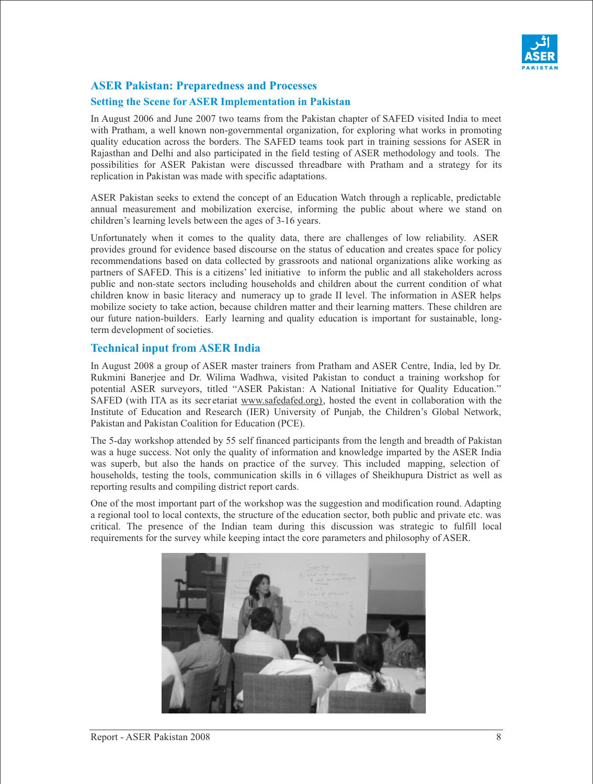

# **ASER Pakistan: Preparedness and Processes**

## **Setting the Scene for ASER Implementation in Pakistan**

In August 2006 and June 2007 two teams from the Pakistan chapter of SAFED visited India to meet with Pratham, a well known non-governmental organization, for exploring what works in promoting quality education across the borders. The SAFED teams took part in training sessions for ASER in Rajasthan and Delhi and also participated in the field testing of ASER methodology and tools. The possibilities for ASER Pakistan were discussed threadbare with Pratham and a strategy for its replication in Pakistan was made with specific adaptations.

ASER Pakistan seeks to extend the concept of an Education Watch through a replicable, predictable annual measurement and mobilization exercise, informing the public about where we stand on children's learning levels between the ages of 3-16 years.

Unfortunately when it comes to the quality data, there are challenges of low reliability. ASER provides ground for evidence based discourse on the status of education and creates space for policy recommendations based on data collected by grassroots and national organizations alike working as partners of SAFED. This is a citizens' led initiative to inform the public and all stakeholders across public and non-state sectors including households and children about the current condition of what children know in basic literacy and numeracy up to grade II level. The information in ASER helps mobilize society to take action, because children matter and their learning matters. These children are our future nation-builders. Early learning and quality education is important for sustainable, longterm development of societies.

## **Technical input from ASER India**

In August 2008 a group of ASER master trainers from Pratham and ASER Centre, India, led by Dr. Rukmini Banerjee and Dr. Wilima Wadhwa, visited Pakistan to conduct a training workshop for potential ASER surveyors, titled "ASER Pakistan: A National Initiative for Quality Education." SAFED (with ITA as its secr etariat www.safedafed.org), hosted the event in collaboration with the Institute of Education and Research (IER) University of Punjab, the Children's Global Network, Pakistan and Pakistan Coalition for Education (PCE).

The 5-day workshop attended by 55 self financed participants from the length and breadth of Pakistan was a huge success. Not only the quality of information and knowledge imparted by the ASER India was superb, but also the hands on practice of the survey. This included mapping, selection of households, testing the tools, communication skills in 6 villages of Sheikhupura District as well as reporting results and compiling district report cards.

One of the most important part of the workshop was the suggestion and modification round. Adapting a regional tool to local contexts, the structure of the education sector, both public and private etc. was critical. The presence of the Indian team during this discussion was strategic to fulfill local requirements for the survey while keeping intact the core parameters and philosophy of ASER.